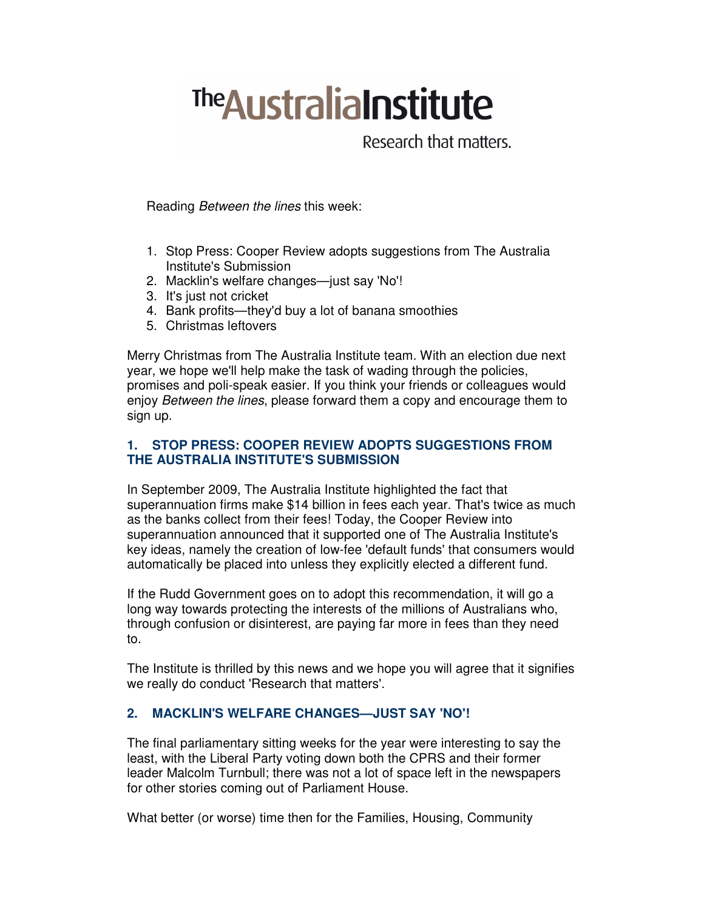# **The Australia Institute**

Research that matters.

Reading Between the lines this week:

- 1. Stop Press: Cooper Review adopts suggestions from The Australia Institute's Submission
- 2. Macklin's welfare changes—just say 'No'!
- 3. It's just not cricket
- 4. Bank profits—they'd buy a lot of banana smoothies
- 5. Christmas leftovers

Merry Christmas from The Australia Institute team. With an election due next year, we hope we'll help make the task of wading through the policies, promises and poli-speak easier. If you think your friends or colleagues would enjoy *Between the lines*, please forward them a copy and encourage them to sign up.

# **1. STOP PRESS: COOPER REVIEW ADOPTS SUGGESTIONS FROM THE AUSTRALIA INSTITUTE'S SUBMISSION**

In September 2009, The Australia Institute highlighted the fact that superannuation firms make \$14 billion in fees each year. That's twice as much as the banks collect from their fees! Today, the Cooper Review into superannuation announced that it supported one of The Australia Institute's key ideas, namely the creation of low-fee 'default funds' that consumers would automatically be placed into unless they explicitly elected a different fund.

If the Rudd Government goes on to adopt this recommendation, it will go a long way towards protecting the interests of the millions of Australians who, through confusion or disinterest, are paying far more in fees than they need to.

The Institute is thrilled by this news and we hope you will agree that it signifies we really do conduct 'Research that matters'.

# **2. MACKLIN'S WELFARE CHANGES—JUST SAY 'NO'!**

The final parliamentary sitting weeks for the year were interesting to say the least, with the Liberal Party voting down both the CPRS and their former leader Malcolm Turnbull; there was not a lot of space left in the newspapers for other stories coming out of Parliament House.

What better (or worse) time then for the Families, Housing, Community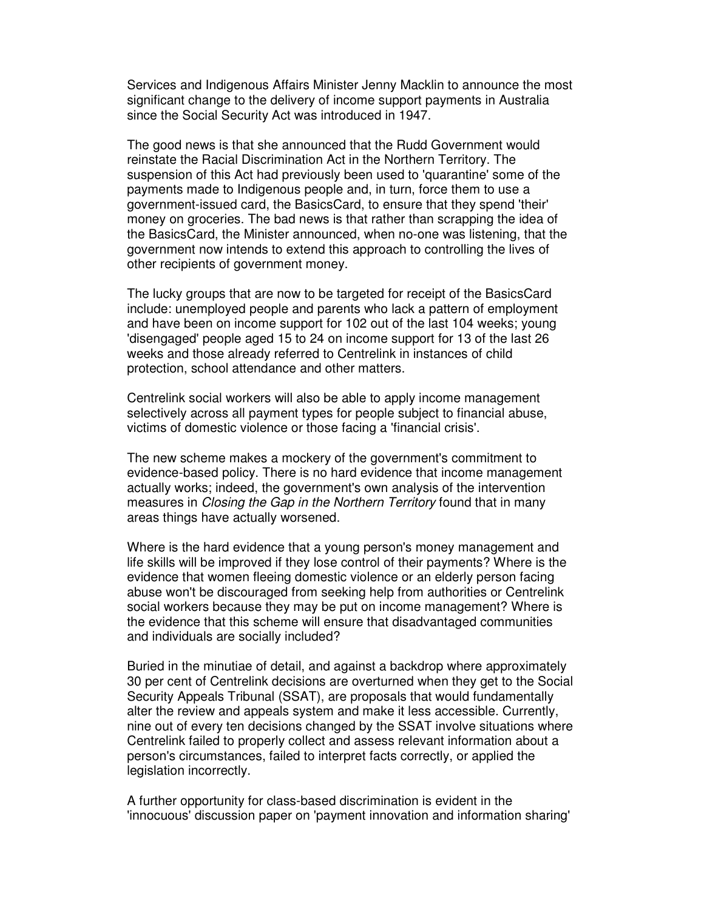Services and Indigenous Affairs Minister Jenny Macklin to announce the most significant change to the delivery of income support payments in Australia since the Social Security Act was introduced in 1947.

The good news is that she announced that the Rudd Government would reinstate the Racial Discrimination Act in the Northern Territory. The suspension of this Act had previously been used to 'quarantine' some of the payments made to Indigenous people and, in turn, force them to use a government-issued card, the BasicsCard, to ensure that they spend 'their' money on groceries. The bad news is that rather than scrapping the idea of the BasicsCard, the Minister announced, when no-one was listening, that the government now intends to extend this approach to controlling the lives of other recipients of government money.

The lucky groups that are now to be targeted for receipt of the BasicsCard include: unemployed people and parents who lack a pattern of employment and have been on income support for 102 out of the last 104 weeks; young 'disengaged' people aged 15 to 24 on income support for 13 of the last 26 weeks and those already referred to Centrelink in instances of child protection, school attendance and other matters.

Centrelink social workers will also be able to apply income management selectively across all payment types for people subject to financial abuse, victims of domestic violence or those facing a 'financial crisis'.

The new scheme makes a mockery of the government's commitment to evidence-based policy. There is no hard evidence that income management actually works; indeed, the government's own analysis of the intervention measures in Closing the Gap in the Northern Territory found that in many areas things have actually worsened.

Where is the hard evidence that a young person's money management and life skills will be improved if they lose control of their payments? Where is the evidence that women fleeing domestic violence or an elderly person facing abuse won't be discouraged from seeking help from authorities or Centrelink social workers because they may be put on income management? Where is the evidence that this scheme will ensure that disadvantaged communities and individuals are socially included?

Buried in the minutiae of detail, and against a backdrop where approximately 30 per cent of Centrelink decisions are overturned when they get to the Social Security Appeals Tribunal (SSAT), are proposals that would fundamentally alter the review and appeals system and make it less accessible. Currently, nine out of every ten decisions changed by the SSAT involve situations where Centrelink failed to properly collect and assess relevant information about a person's circumstances, failed to interpret facts correctly, or applied the legislation incorrectly.

A further opportunity for class-based discrimination is evident in the 'innocuous' discussion paper on 'payment innovation and information sharing'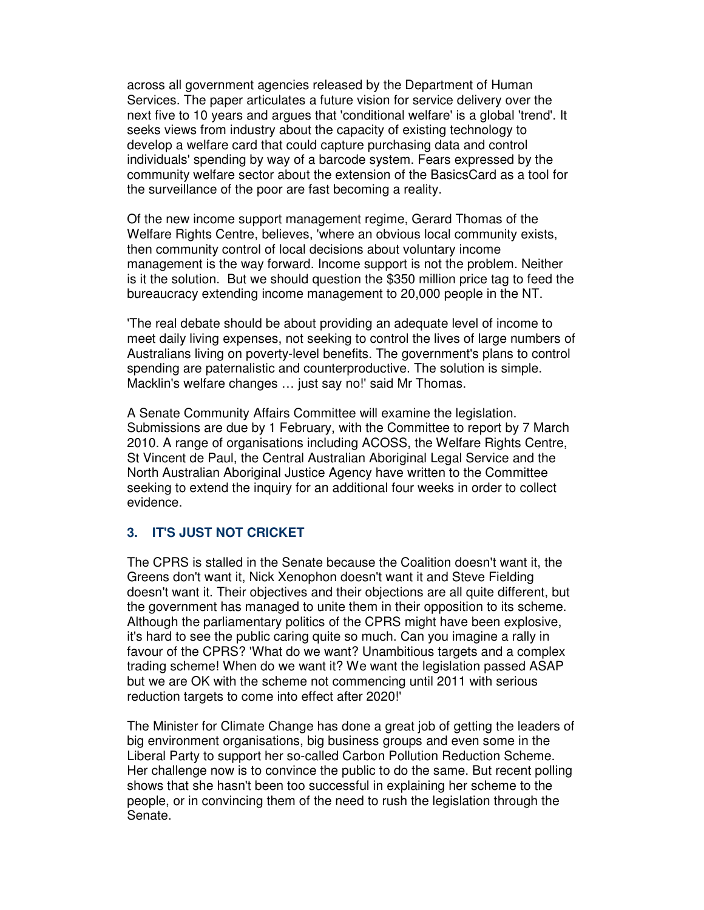across all government agencies released by the Department of Human Services. The paper articulates a future vision for service delivery over the next five to 10 years and argues that 'conditional welfare' is a global 'trend'. It seeks views from industry about the capacity of existing technology to develop a welfare card that could capture purchasing data and control individuals' spending by way of a barcode system. Fears expressed by the community welfare sector about the extension of the BasicsCard as a tool for the surveillance of the poor are fast becoming a reality.

Of the new income support management regime, Gerard Thomas of the Welfare Rights Centre, believes, 'where an obvious local community exists, then community control of local decisions about voluntary income management is the way forward. Income support is not the problem. Neither is it the solution. But we should question the \$350 million price tag to feed the bureaucracy extending income management to 20,000 people in the NT.

'The real debate should be about providing an adequate level of income to meet daily living expenses, not seeking to control the lives of large numbers of Australians living on poverty-level benefits. The government's plans to control spending are paternalistic and counterproductive. The solution is simple. Macklin's welfare changes … just say no!' said Mr Thomas.

A Senate Community Affairs Committee will examine the legislation. Submissions are due by 1 February, with the Committee to report by 7 March 2010. A range of organisations including ACOSS, the Welfare Rights Centre, St Vincent de Paul, the Central Australian Aboriginal Legal Service and the North Australian Aboriginal Justice Agency have written to the Committee seeking to extend the inquiry for an additional four weeks in order to collect evidence.

### **3. IT'S JUST NOT CRICKET**

The CPRS is stalled in the Senate because the Coalition doesn't want it, the Greens don't want it, Nick Xenophon doesn't want it and Steve Fielding doesn't want it. Their objectives and their objections are all quite different, but the government has managed to unite them in their opposition to its scheme. Although the parliamentary politics of the CPRS might have been explosive, it's hard to see the public caring quite so much. Can you imagine a rally in favour of the CPRS? 'What do we want? Unambitious targets and a complex trading scheme! When do we want it? We want the legislation passed ASAP but we are OK with the scheme not commencing until 2011 with serious reduction targets to come into effect after 2020!'

The Minister for Climate Change has done a great job of getting the leaders of big environment organisations, big business groups and even some in the Liberal Party to support her so-called Carbon Pollution Reduction Scheme. Her challenge now is to convince the public to do the same. But recent polling shows that she hasn't been too successful in explaining her scheme to the people, or in convincing them of the need to rush the legislation through the Senate.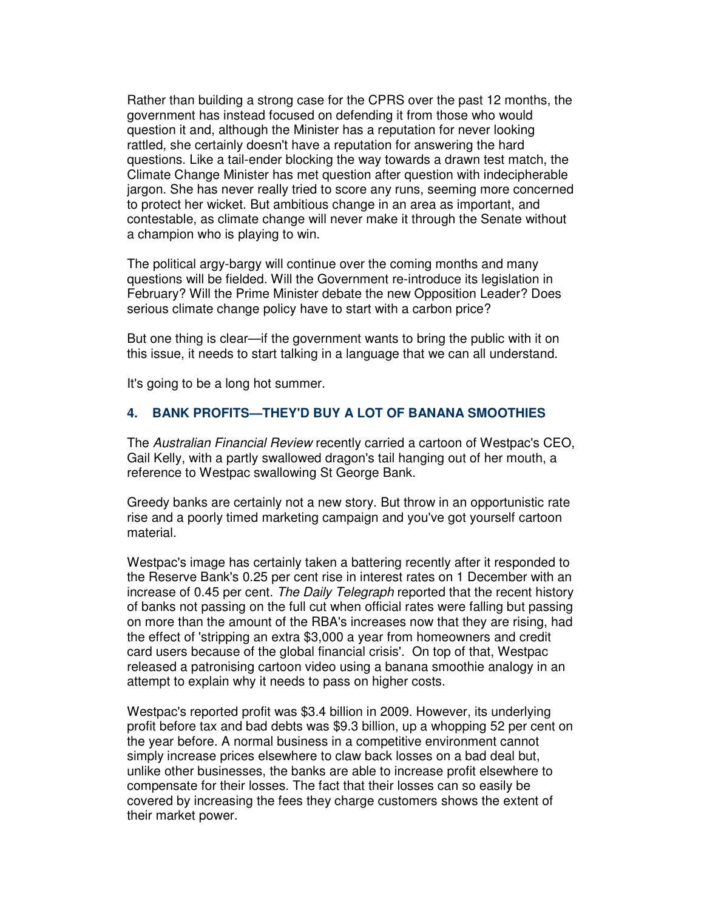Rather than building a strong case for the CPRS over the past 12 months, the government has instead focused on defending it from those who would question it and, although the Minister has a reputation for never looking rattled, she certainly doesn't have a reputation for answering the hard questions. Like a tail-ender blocking the way towards a drawn test match, the Climate Change Minister has met question after question with indecipherable jargon. She has never really tried to score any runs, seeming more concerned to protect her wicket. But ambitious change in an area as important, and contestable, as climate change will never make it through the Senate without a champion who is playing to win.

The political argy-bargy will continue over the coming months and many questions will be fielded. Will the Government re-introduce its legislation in February? Will the Prime Minister debate the new Opposition Leader? Does serious climate change policy have to start with a carbon price?

But one thing is clear—if the government wants to bring the public with it on this issue, it needs to start talking in a language that we can all understand.

It's going to be a long hot summer.

#### **4. BANK PROFITS—THEY'D BUY A LOT OF BANANA SMOOTHIES**

The Australian Financial Review recently carried a cartoon of Westpac's CEO, Gail Kelly, with a partly swallowed dragon's tail hanging out of her mouth, a reference to Westpac swallowing St George Bank.

Greedy banks are certainly not a new story. But throw in an opportunistic rate rise and a poorly timed marketing campaign and you've got yourself cartoon material.

Westpac's image has certainly taken a battering recently after it responded to the Reserve Bank's 0.25 per cent rise in interest rates on 1 December with an increase of 0.45 per cent. The Daily Telegraph reported that the recent history of banks not passing on the full cut when official rates were falling but passing on more than the amount of the RBA's increases now that they are rising, had the effect of 'stripping an extra \$3,000 a year from homeowners and credit card users because of the global financial crisis'. On top of that, Westpac released a patronising cartoon video using a banana smoothie analogy in an attempt to explain why it needs to pass on higher costs.

Westpac's reported profit was \$3.4 billion in 2009. However, its underlying profit before tax and bad debts was \$9.3 billion, up a whopping 52 per cent on the year before. A normal business in a competitive environment cannot simply increase prices elsewhere to claw back losses on a bad deal but, unlike other businesses, the banks are able to increase profit elsewhere to compensate for their losses. The fact that their losses can so easily be covered by increasing the fees they charge customers shows the extent of their market power.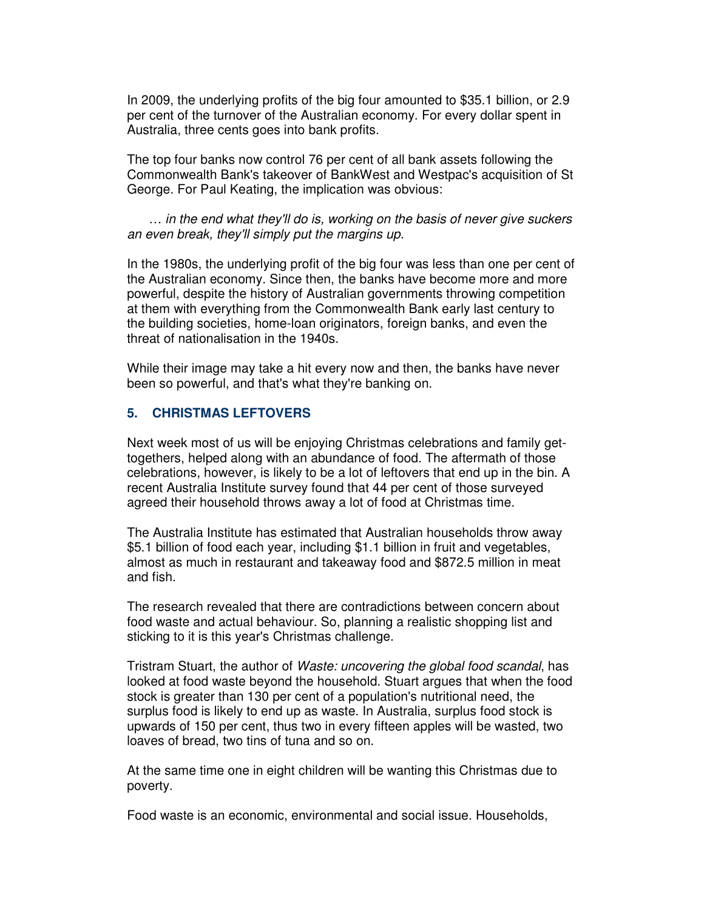In 2009, the underlying profits of the big four amounted to \$35.1 billion, or 2.9 per cent of the turnover of the Australian economy. For every dollar spent in Australia, three cents goes into bank profits.

The top four banks now control 76 per cent of all bank assets following the Commonwealth Bank's takeover of BankWest and Westpac's acquisition of St George. For Paul Keating, the implication was obvious:

 … in the end what they'll do is, working on the basis of never give suckers an even break, they'll simply put the margins up.

In the 1980s, the underlying profit of the big four was less than one per cent of the Australian economy. Since then, the banks have become more and more powerful, despite the history of Australian governments throwing competition at them with everything from the Commonwealth Bank early last century to the building societies, home-loan originators, foreign banks, and even the threat of nationalisation in the 1940s.

While their image may take a hit every now and then, the banks have never been so powerful, and that's what they're banking on.

#### **5. CHRISTMAS LEFTOVERS**

Next week most of us will be enjoying Christmas celebrations and family gettogethers, helped along with an abundance of food. The aftermath of those celebrations, however, is likely to be a lot of leftovers that end up in the bin. A recent Australia Institute survey found that 44 per cent of those surveyed agreed their household throws away a lot of food at Christmas time.

The Australia Institute has estimated that Australian households throw away \$5.1 billion of food each year, including \$1.1 billion in fruit and vegetables, almost as much in restaurant and takeaway food and \$872.5 million in meat and fish.

The research revealed that there are contradictions between concern about food waste and actual behaviour. So, planning a realistic shopping list and sticking to it is this year's Christmas challenge.

Tristram Stuart, the author of Waste: uncovering the global food scandal, has looked at food waste beyond the household. Stuart argues that when the food stock is greater than 130 per cent of a population's nutritional need, the surplus food is likely to end up as waste. In Australia, surplus food stock is upwards of 150 per cent, thus two in every fifteen apples will be wasted, two loaves of bread, two tins of tuna and so on.

At the same time one in eight children will be wanting this Christmas due to poverty.

Food waste is an economic, environmental and social issue. Households,